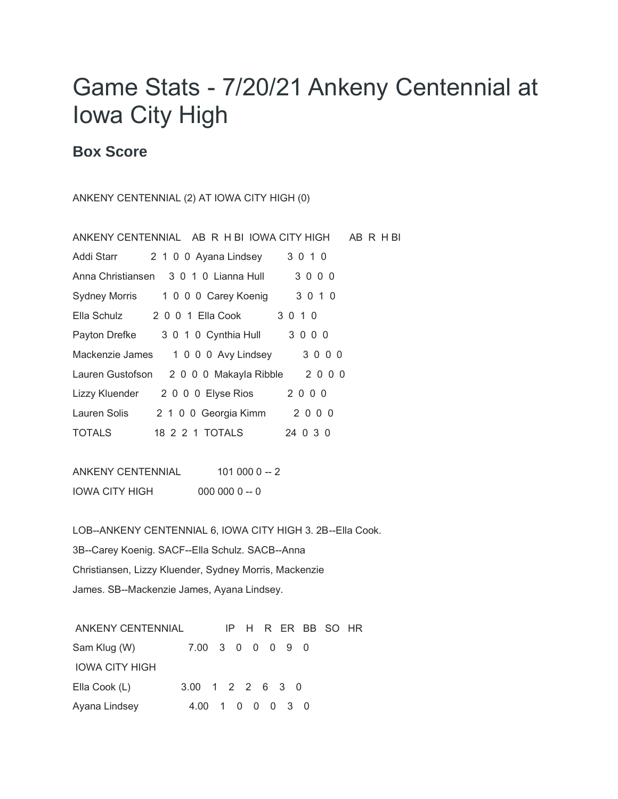## Game Stats - 7/20/21 Ankeny Centennial at Iowa City High

## **Box Score**

ANKENY CENTENNIAL (2) AT IOWA CITY HIGH (0)

| ANKENY CENTENNIAL AB R H BI IOWA CITY HIGH AB R H BI |
|------------------------------------------------------|
| 3 0 1 0<br>2 1 0 0 Ayana Lindsey<br>Addi Starr       |
| 3000<br>Anna Christiansen 3 0 1 0 Lianna Hull        |
| 3 0 1 0<br>Sydney Morris 1 0 0 0 Carey Koenig        |
| Ella Schulz 2001 Ella Cook<br>3 0 1 0                |
| 3000<br>3 0 1 0 Cynthia Hull<br>Payton Drefke        |
| Mackenzie James<br>3000<br>1 0 0 0 Avy Lindsey       |
| Lauren Gustofson 2000 Makayla Ribble<br>2000         |
| 2000<br>Lizzy Kluender 2000 Elyse Rios               |
| 2000<br>Lauren Solis<br>2 1 0 0 Georgia Kimm         |
| <b>TOTALS</b><br>24 0 3 0                            |

ANKENY CENTENNIAL 101 000 0 -- 2 IOWA CITY HIGH 000 000 0 -- 0

LOB--ANKENY CENTENNIAL 6, IOWA CITY HIGH 3. 2B--Ella Cook. 3B--Carey Koenig. SACF--Ella Schulz. SACB--Anna Christiansen, Lizzy Kluender, Sydney Morris, Mackenzie James. SB--Mackenzie James, Ayana Lindsey.

| ANKENY CENTENNIAL |                  | IP H R ER BB SO HR |  |  |  |
|-------------------|------------------|--------------------|--|--|--|
| Sam Klug (W)      | 7.00 3 0 0 0 9 0 |                    |  |  |  |
| IOWA CITY HIGH    |                  |                    |  |  |  |
| Ella Cook (L)     | 3.00 1 2 2 6 3 0 |                    |  |  |  |
| Ayana Lindsey     | 4.00 1 0 0 0 3 0 |                    |  |  |  |